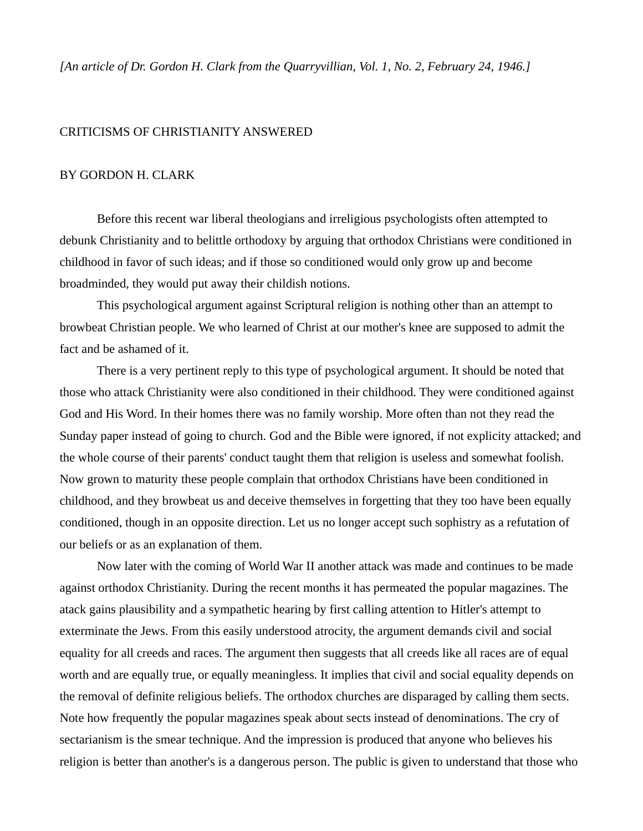## CRITICISMS OF CHRISTIANITY ANSWERED

## BY GORDON H. CLARK

Before this recent war liberal theologians and irreligious psychologists often attempted to debunk Christianity and to belittle orthodoxy by arguing that orthodox Christians were conditioned in childhood in favor of such ideas; and if those so conditioned would only grow up and become broadminded, they would put away their childish notions.

This psychological argument against Scriptural religion is nothing other than an attempt to browbeat Christian people. We who learned of Christ at our mother's knee are supposed to admit the fact and be ashamed of it.

There is a very pertinent reply to this type of psychological argument. It should be noted that those who attack Christianity were also conditioned in their childhood. They were conditioned against God and His Word. In their homes there was no family worship. More often than not they read the Sunday paper instead of going to church. God and the Bible were ignored, if not explicity attacked; and the whole course of their parents' conduct taught them that religion is useless and somewhat foolish. Now grown to maturity these people complain that orthodox Christians have been conditioned in childhood, and they browbeat us and deceive themselves in forgetting that they too have been equally conditioned, though in an opposite direction. Let us no longer accept such sophistry as a refutation of our beliefs or as an explanation of them.

Now later with the coming of World War II another attack was made and continues to be made against orthodox Christianity. During the recent months it has permeated the popular magazines. The atack gains plausibility and a sympathetic hearing by first calling attention to Hitler's attempt to exterminate the Jews. From this easily understood atrocity, the argument demands civil and social equality for all creeds and races. The argument then suggests that all creeds like all races are of equal worth and are equally true, or equally meaningless. It implies that civil and social equality depends on the removal of definite religious beliefs. The orthodox churches are disparaged by calling them sects. Note how frequently the popular magazines speak about sects instead of denominations. The cry of sectarianism is the smear technique. And the impression is produced that anyone who believes his religion is better than another's is a dangerous person. The public is given to understand that those who